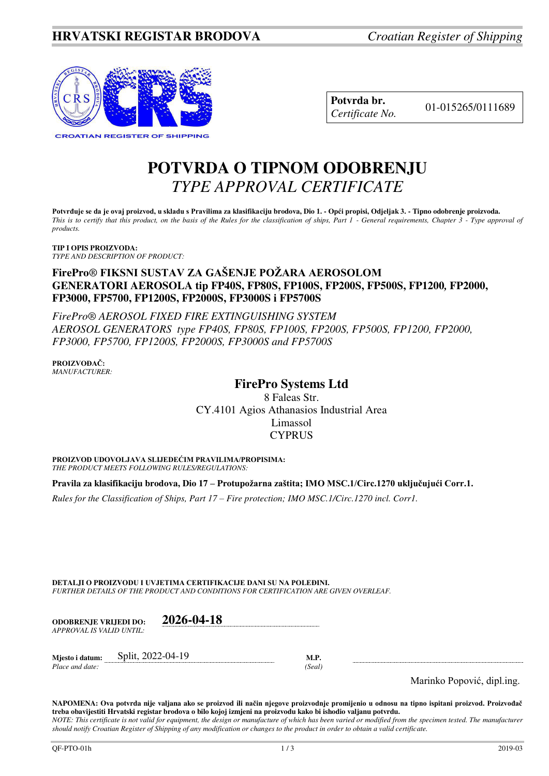

| Potvrda br.     |
|-----------------|
| Certificate No. |

**Potvrda br.** 01-015265/0111689 *Certificate No.* 

# **POTVRDA O TIPNOM ODOBRENJU**  *TYPE APPROVAL CERTIFICATE*

**Potvrđuje se da je ovaj proizvod, u skladu s Pravilima za klasifikaciju brodova, Dio 1. - Opći propisi, Odjeljak 3. - Tipno odobrenje proizvoda.**  *This is to certify that this product, on the basis of the Rules for the classification of ships, Part 1 - General requirements, Chapter 3 - Type approval of products.* 

**TIP I OPIS PROIZVODA:** *TYPE AND DESCRIPTION OF PRODUCT:* 

## **FirePro***®* **FIKSNI SUSTAV ZA GAŠENJE POŽARA AEROSOLOM GENERATORI AEROSOLA tip FP40S, FP80S, FP100S, FP200S, FP500S, FP1200***,* **FP2000, FP3000, FP5700, FP1200S, FP2000S, FP3000S i FP5700S**

*FirePro® AEROSOL FIXED FIRE EXTINGUISHING SYSTEM AEROSOL GENERATORS type FP40S, FP80S, FP100S, FP200S, FP500S, FP1200, FP2000, FP3000, FP5700, FP1200S, FP2000S, FP3000S and FP5700S*

**PROIZVOĐAČ:** *MANUFACTURER:*

# **FirePro Systems Ltd**

8 Faleas Str. CY.4101 Agios Athanasios Industrial Area Limassol CYPRUS

**PROIZVOD UDOVOLJAVA SLIJEDEĆIM PRAVILIMA/PROPISIMA:** *THE PRODUCT MEETS FOLLOWING RULES/REGULATIONS:* 

**Pravila za klasifikaciju brodova, Dio 17 – Protupožarna zaštita; IMO MSC.1/Circ.1270 uključujući Corr.1.**

*Rules for the Classification of Ships, Part 17 – Fire protection; IMO MSC.1/Circ.1270 incl. Corr1.*

**DETALJI O PROIZVODU I UVJETIMA CERTIFIKACIJE DANI SU NA POLEĐINI.** *FURTHER DETAILS OF THE PRODUCT AND CONDITIONS FOR CERTIFICATION ARE GIVEN OVERLEAF.* 

| <b>ODOBRENJE VRLIEDI DO:</b> |  | 2026-04-18        |       |  |
|------------------------------|--|-------------------|-------|--|
| APPROVAL IS VALID UNTIL:     |  |                   |       |  |
| Miesto i datum:              |  | Split, 2022-04-19 | M.P.  |  |
| Place and date:              |  |                   | Seal) |  |

Marinko Popović, dipl.ing.

**NAPOMENA: Ova potvrda nije valjana ako se proizvod ili način njegove proizvodnje promijenio u odnosu na tipno ispitani proizvod. Proizvođač treba obavijestiti Hrvatski registar brodova o bilo kojoj izmjeni na proizvodu kako bi ishodio valjanu potvrdu.**  *NOTE: This certificate is not valid for equipment, the design or manufacture of which has been varied or modified from the specimen tested. The manufacturer should notify Croatian Register of Shipping of any modification or changes to the product in order to obtain a valid certificate.*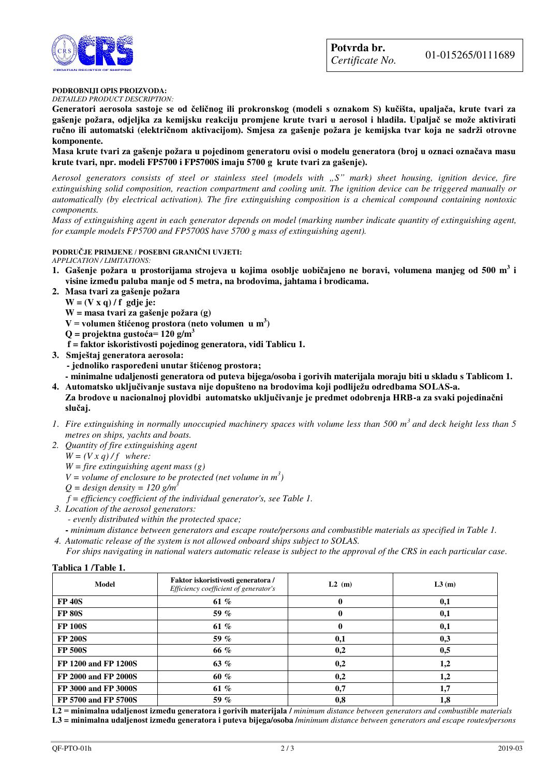



### **PODROBNIJI OPIS PROIZVODA:**

*DETAILED PRODUCT DESCRIPTION:* 

**Generatori aerosola sastoje se od čeličnog ili prokronskog (modeli s oznakom S) kučišta, upaljača, krute tvari za gašenje požara, odjeljka za kemijsku reakciju promjene krute tvari u aerosol i hladila. Upaljač se može aktivirati ručno ili automatski (električnom aktivacijom). Smjesa za gašenje požara je kemijska tvar koja ne sadrži otrovne komponente.**

**Masa krute tvari za gašenje požara u pojedinom generatoru ovisi o modelu generatora (broj u oznaci označava masu krute tvari, npr. modeli FP5700 i FP5700S imaju 5700 g krute tvari za gašenje).** 

*Aerosol generators consists of steel or stainless steel (models with "S" mark) sheet housing, ignition device, fire extinguishing solid composition, reaction compartment and cooling unit. The ignition device can be triggered manually or automatically (by electrical activation). The fire extinguishing composition is a chemical compound containing nontoxic components.* 

*Mass of extinguishing agent in each generator depends on model (marking number indicate quantity of extinguishing agent, for example models FP5700 and FP5700S have 5700 g mass of extinguishing agent).* 

## **PODRUČJE PRIMJENE / POSEBNI GRANIČNI UVJETI:**

*APPLICATION / LIMITATIONS:*

- **1. Gašenje požara u prostorijama strojeva u kojima osoblje uobičajeno ne boravi, volumena manjeg od 500 m<sup>3</sup> i visine između paluba manje od 5 metra, na brodovima, jahtama i brodicama.**
- **2. Masa tvari za gašenje požara**
	- **W = (V x q) / f gdje je:**

**W = masa tvari za gašenje požara (g)** 

**V = volumen štićenog prostora (neto volumen u m<sup>3</sup> )** 

- **Q = projektna gustoća= 120 g/m<sup>3</sup>**
- **f = faktor iskoristivosti pojedinog generatora, vidi Tablicu 1.**
- **3. Smještaj generatora aerosola:**
	- **jednoliko raspoređeni unutar štićenog prostora;**

 **- minimalne udaljenosti generatora od puteva bijega/osoba i gorivih materijala moraju biti u skladu s Tablicom 1.** 

- **4. Automatsko uključivanje sustava nije dopušteno na brodovima koji podliježu odredbama SOLAS-a. Za brodove u nacionalnoj plovidbi automatsko uključivanje je predmet odobrenja HRB-a za svaki pojedinačni slučaj.**
- *1*. *Fire extinguishing in normally unoccupied machinery spaces with volume less than 500 m<sup>3</sup>and deck height less than 5 metres on ships, yachts and boats.*
- *2. Quantity of fire extinguishing agent* 
	- $W = (V x q)/f$  where:
	- *W = fire extinguishing agent mass (g)*
	- *V* = *volume of enclosure to be protected (net volume in*  $m^3$ *)*
	- $Q =$  *design density* = 120 g/m<sup>3</sup>
	- *f = efficiency coefficient of the individual generator's, see Table 1.*
- *3. Location of the aerosol generators:* 
	- *evenly distributed within the protected space;*
- *minimum distance between generators and escape route/persons and combustible materials as specified in Table 1. 4. Automatic release of the system is not allowed onboard ships subject to SOLAS.*

 *For ships navigating in national waters automatic release is subject to the approval of the CRS in each particular case.* 

#### **Tablica 1 /Table 1.**

| <b>Model</b>                | Faktor iskoristivosti generatora /<br>Efficiency coefficient of generator's | L2(m) | L3(m) |
|-----------------------------|-----------------------------------------------------------------------------|-------|-------|
| <b>FP 40S</b>               | 61 %                                                                        |       | 0,1   |
| <b>FP 80S</b>               | 59 $%$                                                                      | 0     | 0,1   |
| <b>FP 100S</b>              | 61 %                                                                        | 0     | 0,1   |
| <b>FP 200S</b>              | 59 $%$                                                                      | 0,1   | 0,3   |
| <b>FP 500S</b>              | 66 %                                                                        | 0,2   | 0,5   |
| FP 1200 and FP 1200S        | 63 $%$                                                                      | 0,2   | 1,2   |
| FP 2000 and FP 2000S        | 60 %                                                                        | 0,2   | 1,2   |
| <b>FP 3000 and FP 3000S</b> | 61 %                                                                        | 0,7   | 1,7   |
| FP 5700 and FP 5700S        | 59 %                                                                        | 0,8   | 1,8   |

**L2 = minimalna udaljenost između generatora i gorivih materijala /** *minimum distance between generators and combustible materials*  **L3** *=* **minimalna udaljenost između generatora i puteva bijega/osoba /***minimum distance between generators and escape routes/persons*